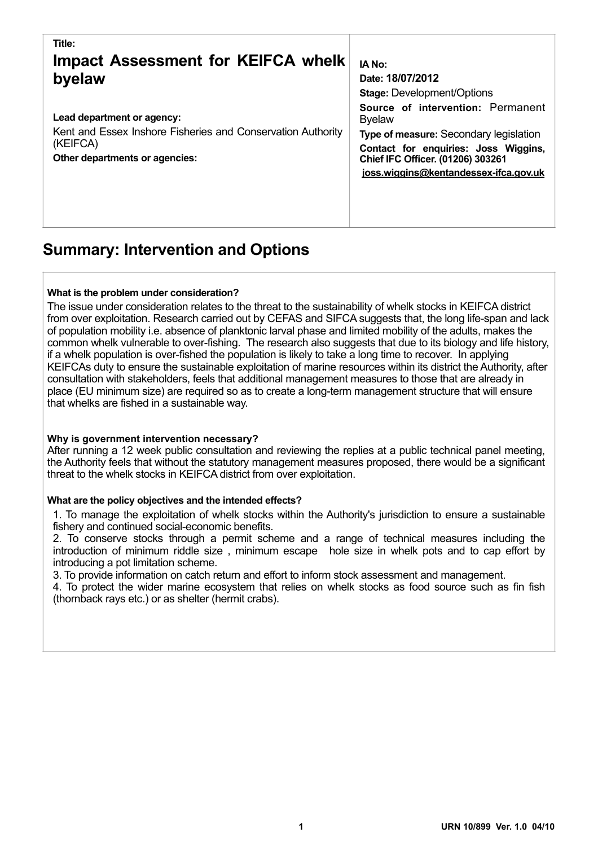| Title:                                                                                                                                  | IA No:                                                                                                                                                                                                             |
|-----------------------------------------------------------------------------------------------------------------------------------------|--------------------------------------------------------------------------------------------------------------------------------------------------------------------------------------------------------------------|
| <b>Impact Assessment for KEIFCA whelk</b>                                                                                               | Date: 18/07/2012                                                                                                                                                                                                   |
| byelaw                                                                                                                                  | <b>Stage: Development/Options</b>                                                                                                                                                                                  |
| Lead department or agency:<br>Kent and Essex Inshore Fisheries and Conservation Authority<br>(KEIFCA)<br>Other departments or agencies: | Source of intervention: Permanent<br><b>Byelaw</b><br>Type of measure: Secondary legislation<br>Contact for enquiries: Joss Wiggins,<br>Chief IFC Officer. (01206) 303261<br>joss.wiggins@kentandessex-ifca.gov.uk |

## **Summary: Intervention and Options**

#### **What is the problem under consideration?**

The issue under consideration relates to the threat to the sustainability of whelk stocks in KEIFCA district from over exploitation. Research carried out by CEFAS and SIFCA suggests that, the long life-span and lack of population mobility i.e. absence of planktonic larval phase and limited mobility of the adults, makes the common whelk vulnerable to over-fishing. The research also suggests that due to its biology and life history, if a whelk population is over-fished the population is likely to take a long time to recover. In applying KEIFCAs duty to ensure the sustainable exploitation of marine resources within its district the Authority, after consultation with stakeholders, feels that additional management measures to those that are already in place (EU minimum size) are required so as to create a long-term management structure that will ensure that whelks are fished in a sustainable way.

#### **Why is government intervention necessary?**

After running a 12 week public consultation and reviewing the replies at a public technical panel meeting, the Authority feels that without the statutory management measures proposed, there would be a significant threat to the whelk stocks in KEIFCA district from over exploitation.

#### **What are the policy objectives and the intended effects?**

1. To manage the exploitation of whelk stocks within the Authority's jurisdiction to ensure a sustainable fishery and continued social-economic benefits.

2. To conserve stocks through a permit scheme and a range of technical measures including the introduction of minimum riddle size , minimum escape hole size in whelk pots and to cap effort by introducing a pot limitation scheme.

3. To provide information on catch return and effort to inform stock assessment and management.

4. To protect the wider marine ecosystem that relies on whelk stocks as food source such as fin fish (thornback rays etc.) or as shelter (hermit crabs).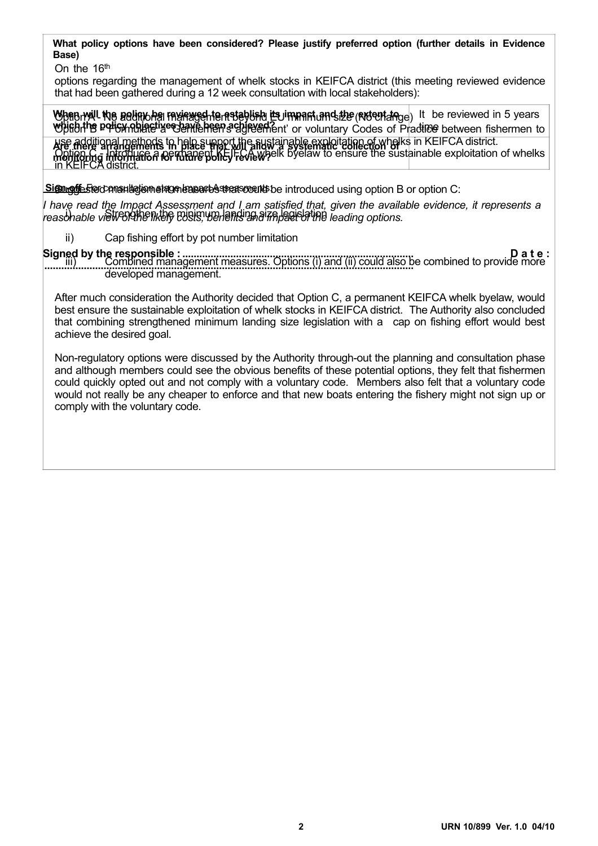**What policy options have been considered? Please justify preferred option (further details in Evidence Base)** 

On the 16<sup>th</sup>

options regarding the management of whelk stocks in KEIFCA district (this meeting reviewed evidence that had been gathered during a 12 week consultation with local stakeholders):

When will the policione reviewed to retablish its impart and the extent ange) It be reviewed in 5 years Which the policy objective that the premier of general contains the codes of Practice between fishermen to use additional methods to help support the sustainable exploitation of whelks in KEIFCA district. Option C - Introduce a permanent KEIFCA whelk byelaw to ensure the sustainable exploitation of whelks in KEIFCA district. **Are there arrangements in place that will allow a systematic collection of monitoring information for future policy review?**

Signight For consultation stage lease of that could be introduced using option B or option C:

*I have read the Impact Assessment and I am satisfied that, given the available evidence, it represents a*  reasonable view of the nutley costs, we lend the minimum land in the minimum land in the minimum land is a second to the minimum land in the minimum land in the minimum land in the minimum land in the minimum land in the m

ii) Cap fishing effort by pot number limitation

**Signed by the responsible : D a t e : ..................................................................................** combined management measures. Options (i) and (ii) could also be combined to provide more developed management.

After much consideration the Authority decided that Option C, a permanent KEIFCA whelk byelaw, would best ensure the sustainable exploitation of whelk stocks in KEIFCA district. The Authority also concluded that combining strengthened minimum landing size legislation with a cap on fishing effort would best achieve the desired goal.

Non-regulatory options were discussed by the Authority through-out the planning and consultation phase and although members could see the obvious benefits of these potential options, they felt that fishermen could quickly opted out and not comply with a voluntary code. Members also felt that a voluntary code would not really be any cheaper to enforce and that new boats entering the fishery might not sign up or comply with the voluntary code.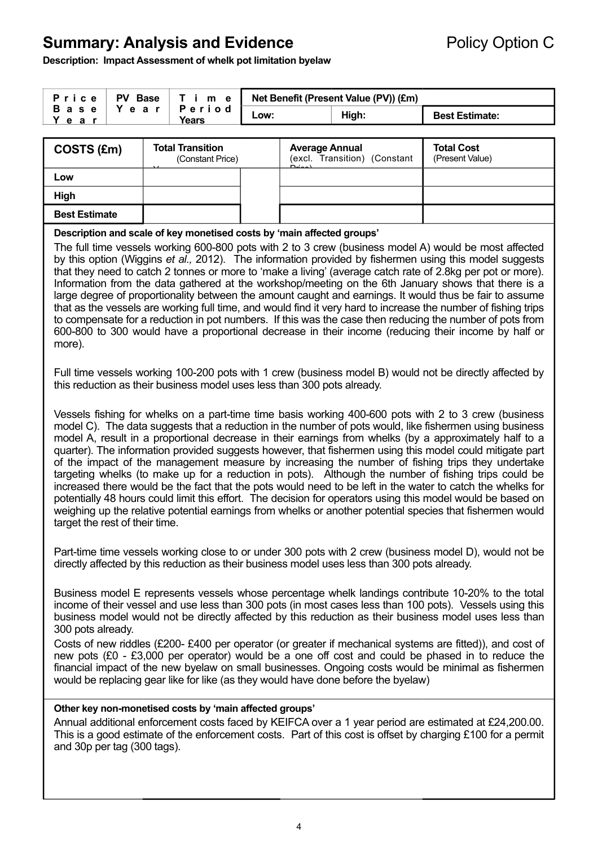## **Summary: Analysis and Evidence Policy Option C**

**Description: Impact Assessment of whelk pot limitation byelaw** 

| Price   | PV Base     |                 |      | T i m e   Net Benefit (Present Value (PV)) (£m) |                       |
|---------|-------------|-----------------|------|-------------------------------------------------|-----------------------|
| Y e a r | Base   Year | Period<br>Years | Low: | High:                                           | <b>Best Estimate:</b> |

| COSTS (£m)           | <b>Total Transition</b><br>(Constant Price) |  | <b>Average Annual</b><br>(excl. Transition) (Constant<br>$D = -1$ | <b>Total Cost</b><br>(Present Value) |  |  |
|----------------------|---------------------------------------------|--|-------------------------------------------------------------------|--------------------------------------|--|--|
| Low                  |                                             |  |                                                                   |                                      |  |  |
| High                 |                                             |  |                                                                   |                                      |  |  |
| <b>Best Estimate</b> |                                             |  |                                                                   |                                      |  |  |

#### **Description and scale of key monetised costs by 'main affected groups'**

The full time vessels working 600-800 pots with 2 to 3 crew (business model A) would be most affected by this option (Wiggins *et al.,* 2012). The information provided by fishermen using this model suggests that they need to catch 2 tonnes or more to 'make a living' (average catch rate of 2.8kg per pot or more). Information from the data gathered at the workshop/meeting on the 6th January shows that there is a large degree of proportionality between the amount caught and earnings. It would thus be fair to assume that as the vessels are working full time, and would find it very hard to increase the number of fishing trips to compensate for a reduction in pot numbers. If this was the case then reducing the number of pots from 600-800 to 300 would have a proportional decrease in their income (reducing their income by half or more).

Full time vessels working 100-200 pots with 1 crew (business model B) would not be directly affected by this reduction as their business model uses less than 300 pots already.

Vessels fishing for whelks on a part-time time basis working 400-600 pots with 2 to 3 crew (business model C). The data suggests that a reduction in the number of pots would, like fishermen using business model A, result in a proportional decrease in their earnings from whelks (by a approximately half to a quarter). The information provided suggests however, that fishermen using this model could mitigate part of the impact of the management measure by increasing the number of fishing trips they undertake targeting whelks (to make up for a reduction in pots). Although the number of fishing trips could be increased there would be the fact that the pots would need to be left in the water to catch the whelks for potentially 48 hours could limit this effort. The decision for operators using this model would be based on weighing up the relative potential earnings from whelks or another potential species that fishermen would target the rest of their time.

Part-time time vessels working close to or under 300 pots with 2 crew (business model D), would not be directly affected by this reduction as their business model uses less than 300 pots already.

Business model E represents vessels whose percentage whelk landings contribute 10-20% to the total income of their vessel and use less than 300 pots (in most cases less than 100 pots). Vessels using this business model would not be directly affected by this reduction as their business model uses less than 300 pots already.

Costs of new riddles (£200- £400 per operator (or greater if mechanical systems are fitted)), and cost of new pots (£0 - £3,000 per operator) would be a one off cost and could be phased in to reduce the financial impact of the new byelaw on small businesses. Ongoing costs would be minimal as fishermen would be replacing gear like for like (as they would have done before the byelaw)

#### **Other key non-monetised costs by 'main affected groups'**

Annual additional enforcement costs faced by KEIFCA over a 1 year period are estimated at £24,200.00. This is a good estimate of the enforcement costs. Part of this cost is offset by charging £100 for a permit and 30p per tag (300 tags).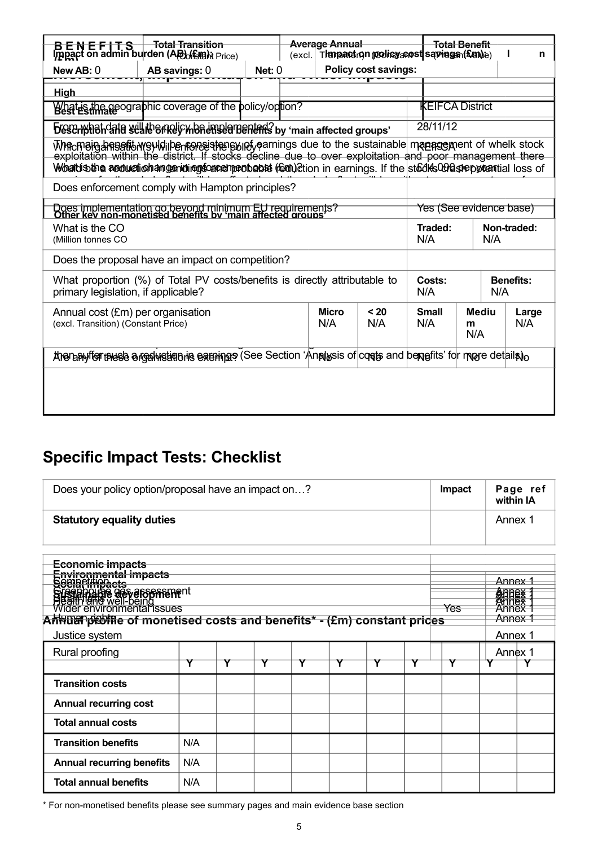|                                                                                                                                                                                                                                                                                                                  | <del>Total Transition</del><br>B E N E F   T S   Total Transition<br>Impget on admin burden (AP) (family Price) |        | <b>Average Annual</b><br>Thmpactron roohisyacost saphags (£an)e)<br>(excl. |  |                                          | <del>Total Benefit</del> |                               | n |              |  |  |
|------------------------------------------------------------------------------------------------------------------------------------------------------------------------------------------------------------------------------------------------------------------------------------------------------------------|-----------------------------------------------------------------------------------------------------------------|--------|----------------------------------------------------------------------------|--|------------------------------------------|--------------------------|-------------------------------|---|--------------|--|--|
| New $AB:0$                                                                                                                                                                                                                                                                                                       | AB savings: 0                                                                                                   | Net: 0 |                                                                            |  | <b>Policy cost savings:</b>              |                          |                               |   |              |  |  |
| <b>High</b>                                                                                                                                                                                                                                                                                                      |                                                                                                                 |        |                                                                            |  |                                          |                          |                               |   |              |  |  |
|                                                                                                                                                                                                                                                                                                                  | What is the geographic coverage of the policy/option?                                                           |        |                                                                            |  |                                          |                          | <b>KEIFCA District</b>        |   |              |  |  |
|                                                                                                                                                                                                                                                                                                                  | bescription and sell the mely monetistion benefits by 'main affected groups'                                    |        |                                                                            |  |                                          |                          | 28/11/12                      |   |              |  |  |
| Whicmaing annibility and the momentum of the sustainable management of whelk stock<br>exploitation within the district. If stocks decline due to over exploitation and poor management there<br>Woratusthe acquisition angenining society and the faultion in earnings. If the stedies Constreption tial loss of |                                                                                                                 |        |                                                                            |  |                                          |                          |                               |   |              |  |  |
|                                                                                                                                                                                                                                                                                                                  | Does enforcement comply with Hampton principles?                                                                |        |                                                                            |  |                                          |                          |                               |   |              |  |  |
| Does implementation go beyond minimum EU requirements?<br>Other key non-monetised benefits by 'main affected groups'                                                                                                                                                                                             |                                                                                                                 |        |                                                                            |  |                                          |                          | Yes (See evidence base)       |   |              |  |  |
| What is the CO<br>(Million tonnes CO                                                                                                                                                                                                                                                                             |                                                                                                                 |        |                                                                            |  |                                          | N/A                      | Non-traded:<br>Traded:<br>N/A |   |              |  |  |
|                                                                                                                                                                                                                                                                                                                  | Does the proposal have an impact on competition?                                                                |        |                                                                            |  |                                          |                          |                               |   |              |  |  |
| What proportion (%) of Total PV costs/benefits is directly attributable to<br>primary legislation, if applicable?                                                                                                                                                                                                |                                                                                                                 |        |                                                                            |  | Costs:<br><b>Benefits:</b><br>N/A<br>N/A |                          |                               |   |              |  |  |
| <b>Micro</b><br>< 20<br>Annual cost (£m) per organisation<br>(excl. Transition) (Constant Price)<br>N/A<br>N/A                                                                                                                                                                                                   |                                                                                                                 |        |                                                                            |  |                                          | <b>Small</b><br>N/A      | Mediu<br>m<br>N/A             |   | Large<br>N/A |  |  |
| Ananasyffer thus bargalustique is exeringe (See Section Analysis of costs and benefits' for more details)                                                                                                                                                                                                        |                                                                                                                 |        |                                                                            |  |                                          |                          |                               |   |              |  |  |
|                                                                                                                                                                                                                                                                                                                  |                                                                                                                 |        |                                                                            |  |                                          |                          |                               |   |              |  |  |

# **Specific Impact Tests: Checklist**

| Does your policy option/proposal have an impact on?                                                                 |     |  |  |  |  |  |  | Page ref<br>Impact<br>within IA |         |  |  |
|---------------------------------------------------------------------------------------------------------------------|-----|--|--|--|--|--|--|---------------------------------|---------|--|--|
| <b>Statutory equality duties</b>                                                                                    |     |  |  |  |  |  |  |                                 | Annex 1 |  |  |
|                                                                                                                     |     |  |  |  |  |  |  |                                 |         |  |  |
| Economic impacts                                                                                                    |     |  |  |  |  |  |  |                                 |         |  |  |
|                                                                                                                     |     |  |  |  |  |  |  |                                 | Annex 1 |  |  |
| Environmental impacts<br>Secial impacts<br>Secial impacts<br>Siesal in and well-being<br>Wider environmental issues |     |  |  |  |  |  |  |                                 | 金印度茨    |  |  |
|                                                                                                                     |     |  |  |  |  |  |  | Yes<br>Annex 1                  |         |  |  |
| Annuanpiestile of monetised costs and benefits* - (£m) constant prices                                              |     |  |  |  |  |  |  |                                 |         |  |  |
| Justice system                                                                                                      |     |  |  |  |  |  |  |                                 | Annex 1 |  |  |
| Rural proofing<br>Υ<br>Y<br>Y<br>Υ<br>Y                                                                             |     |  |  |  |  |  |  |                                 | Annex 1 |  |  |
| <b>Transition costs</b>                                                                                             |     |  |  |  |  |  |  |                                 |         |  |  |
| <b>Annual recurring cost</b>                                                                                        |     |  |  |  |  |  |  |                                 |         |  |  |
| <b>Total annual costs</b>                                                                                           |     |  |  |  |  |  |  |                                 |         |  |  |
| <b>Transition benefits</b><br>N/A                                                                                   |     |  |  |  |  |  |  |                                 |         |  |  |
| <b>Annual recurring benefits</b>                                                                                    | N/A |  |  |  |  |  |  |                                 |         |  |  |
| <b>Total annual benefits</b><br>N/A                                                                                 |     |  |  |  |  |  |  |                                 |         |  |  |

\* For non-monetised benefits please see summary pages and main evidence base section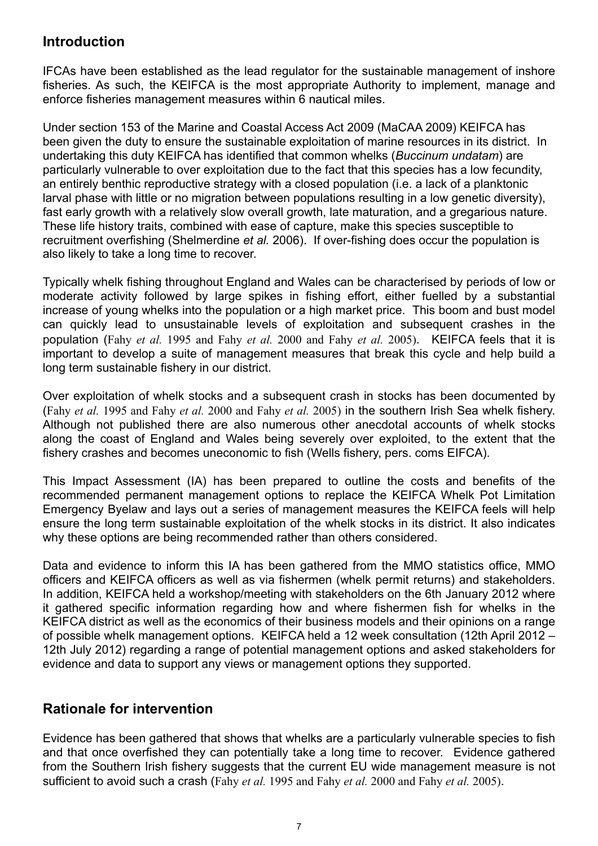### **Introduction**

IFCAs have been established as the lead regulator for the sustainable management of inshore fisheries. As such, the KEIFCA is the most appropriate Authority to implement, manage and enforce fisheries management measures within 6 nautical miles.

Under section 153 of the Marine and Coastal Access Act 2009 (MaCAA 2009) KEIFCA has been given the duty to ensure the sustainable exploitation of marine resources in its district. In undertaking this duty KEIFCA has identified that common whelks (*Buccinum undatam*) are particularly vulnerable to over exploitation due to the fact that this species has a low fecundity, an entirely benthic reproductive strategy with a closed population (i.e. a lack of a planktonic larval phase with little or no migration between populations resulting in a low genetic diversity), fast early growth with a relatively slow overall growth, late maturation, and a gregarious nature. These life history traits, combined with ease of capture, make this species susceptible to recruitment overfishing (Shelmerdine *et al.* 2006). If over-fishing does occur the population is also likely to take a long time to recover.

Typically whelk fishing throughout England and Wales can be characterised by periods of low or moderate activity followed by large spikes in fishing effort, either fuelled by a substantial increase of young whelks into the population or a high market price. This boom and bust model can quickly lead to unsustainable levels of exploitation and subsequent crashes in the population (Fahy *et al.* 1995 and Fahy *et al.* 2000 and Fahy *et al.* 2005). KEIFCA feels that it is important to develop a suite of management measures that break this cycle and help build a long term sustainable fishery in our district.

Over exploitation of whelk stocks and a subsequent crash in stocks has been documented by (Fahy *et al.* 1995 and Fahy *et al.* 2000 and Fahy *et al.* 2005) in the southern Irish Sea whelk fishery. Although not published there are also numerous other anecdotal accounts of whelk stocks along the coast of England and Wales being severely over exploited, to the extent that the fishery crashes and becomes uneconomic to fish (Wells fishery, pers. coms EIFCA).

This Impact Assessment (IA) has been prepared to outline the costs and benefits of the recommended permanent management options to replace the KEIFCA Whelk Pot Limitation Emergency Byelaw and lays out a series of management measures the KEIFCA feels will help ensure the long term sustainable exploitation of the whelk stocks in its district. It also indicates why these options are being recommended rather than others considered.

Data and evidence to inform this IA has been gathered from the MMO statistics office, MMO officers and KEIFCA officers as well as via fishermen (whelk permit returns) and stakeholders. In addition, KEIFCA held a workshop/meeting with stakeholders on the 6th January 2012 where it gathered specific information regarding how and where fishermen fish for whelks in the KEIFCA district as well as the economics of their business models and their opinions on a range of possible whelk management options. KEIFCA held a 12 week consultation (12th April 2012 – 12th July 2012) regarding a range of potential management options and asked stakeholders for evidence and data to support any views or management options they supported.

## **Rationale for intervention**

Evidence has been gathered that shows that whelks are a particularly vulnerable species to fish and that once overfished they can potentially take a long time to recover. Evidence gathered from the Southern Irish fishery suggests that the current EU wide management measure is not sufficient to avoid such a crash (Fahy *et al.* 1995 and Fahy *et al.* 2000 and Fahy *et al.* 2005).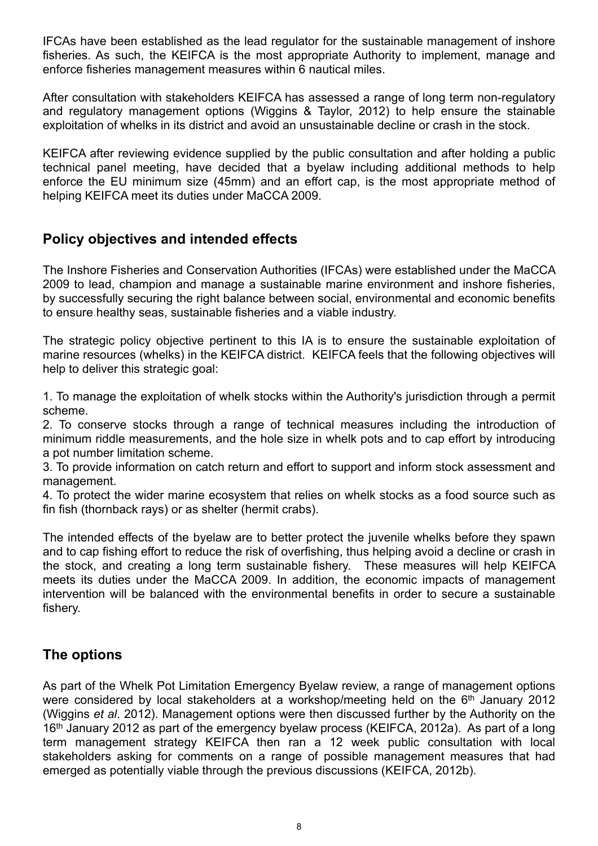IFCAs have been established as the lead regulator for the sustainable management of inshore fisheries. As such, the KEIFCA is the most appropriate Authority to implement, manage and enforce fisheries management measures within 6 nautical miles.

After consultation with stakeholders KEIFCA has assessed a range of long term non-regulatory and regulatory management options (Wiggins & Taylor, 2012) to help ensure the stainable exploitation of whelks in its district and avoid an unsustainable decline or crash in the stock.

KEIFCA after reviewing evidence supplied by the public consultation and after holding a public technical panel meeting, have decided that a byelaw including additional methods to help enforce the EU minimum size (45mm) and an effort cap, is the most appropriate method of helping KEIFCA meet its duties under MaCCA 2009.

## **Policy objectives and intended effects**

The Inshore Fisheries and Conservation Authorities (IFCAs) were established under the MaCCA 2009 to lead, champion and manage a sustainable marine environment and inshore fisheries, by successfully securing the right balance between social, environmental and economic benefits to ensure healthy seas, sustainable fisheries and a viable industry.

The strategic policy objective pertinent to this IA is to ensure the sustainable exploitation of marine resources (whelks) in the KEIFCA district. KEIFCA feels that the following objectives will help to deliver this strategic goal:

1. To manage the exploitation of whelk stocks within the Authority's jurisdiction through a permit scheme.

2. To conserve stocks through a range of technical measures including the introduction of minimum riddle measurements, and the hole size in whelk pots and to cap effort by introducing a pot number limitation scheme.

3. To provide information on catch return and effort to support and inform stock assessment and management.

4. To protect the wider marine ecosystem that relies on whelk stocks as a food source such as fin fish (thornback rays) or as shelter (hermit crabs).

The intended effects of the byelaw are to better protect the juvenile whelks before they spawn and to cap fishing effort to reduce the risk of overfishing, thus helping avoid a decline or crash in the stock, and creating a long term sustainable fishery. These measures will help KEIFCA meets its duties under the MaCCA 2009. In addition, the economic impacts of management intervention will be balanced with the environmental benefits in order to secure a sustainable fishery.

## **The options**

As part of the Whelk Pot Limitation Emergency Byelaw review, a range of management options were considered by local stakeholders at a workshop/meeting held on the 6<sup>th</sup> January 2012 (Wiggins *et al*. 2012). Management options were then discussed further by the Authority on the 16<sup>th</sup> January 2012 as part of the emergency byelaw process (KEIFCA, 2012a). As part of a long term management strategy KEIFCA then ran a 12 week public consultation with local stakeholders asking for comments on a range of possible management measures that had emerged as potentially viable through the previous discussions (KEIFCA, 2012b).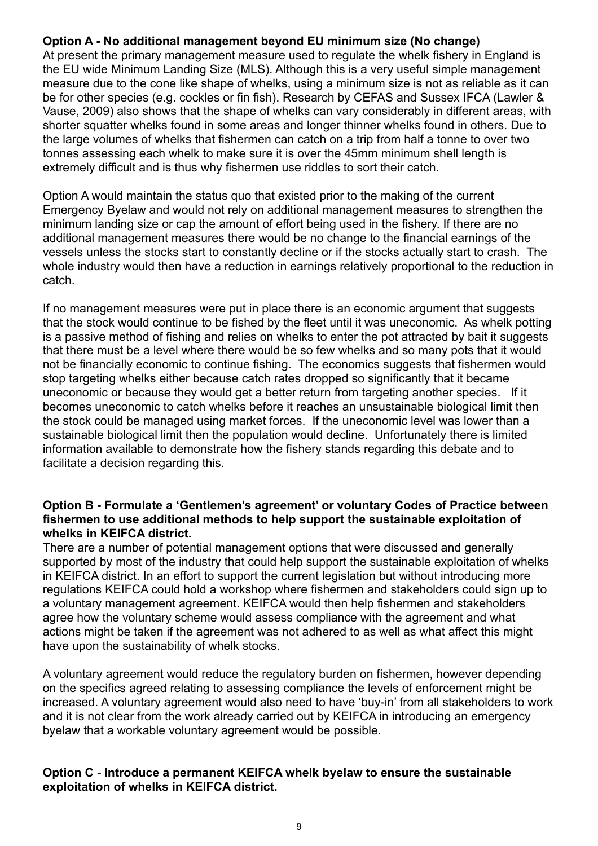#### **Option A - No additional management beyond EU minimum size (No change)**

At present the primary management measure used to regulate the whelk fishery in England is the EU wide Minimum Landing Size (MLS). Although this is a very useful simple management measure due to the cone like shape of whelks, using a minimum size is not as reliable as it can be for other species (e.g. cockles or fin fish). Research by CEFAS and Sussex IFCA (Lawler & Vause, 2009) also shows that the shape of whelks can vary considerably in different areas, with shorter squatter whelks found in some areas and longer thinner whelks found in others. Due to the large volumes of whelks that fishermen can catch on a trip from half a tonne to over two tonnes assessing each whelk to make sure it is over the 45mm minimum shell length is extremely difficult and is thus why fishermen use riddles to sort their catch.

Option A would maintain the status quo that existed prior to the making of the current Emergency Byelaw and would not rely on additional management measures to strengthen the minimum landing size or cap the amount of effort being used in the fishery. If there are no additional management measures there would be no change to the financial earnings of the vessels unless the stocks start to constantly decline or if the stocks actually start to crash. The whole industry would then have a reduction in earnings relatively proportional to the reduction in catch.

If no management measures were put in place there is an economic argument that suggests that the stock would continue to be fished by the fleet until it was uneconomic. As whelk potting is a passive method of fishing and relies on whelks to enter the pot attracted by bait it suggests that there must be a level where there would be so few whelks and so many pots that it would not be financially economic to continue fishing. The economics suggests that fishermen would stop targeting whelks either because catch rates dropped so significantly that it became uneconomic or because they would get a better return from targeting another species. If it becomes uneconomic to catch whelks before it reaches an unsustainable biological limit then the stock could be managed using market forces. If the uneconomic level was lower than a sustainable biological limit then the population would decline. Unfortunately there is limited information available to demonstrate how the fishery stands regarding this debate and to facilitate a decision regarding this.

#### **Option B - Formulate a 'Gentlemen's agreement' or voluntary Codes of Practice between fishermen to use additional methods to help support the sustainable exploitation of whelks in KEIFCA district.**

There are a number of potential management options that were discussed and generally supported by most of the industry that could help support the sustainable exploitation of whelks in KEIFCA district. In an effort to support the current legislation but without introducing more regulations KEIFCA could hold a workshop where fishermen and stakeholders could sign up to a voluntary management agreement. KEIFCA would then help fishermen and stakeholders agree how the voluntary scheme would assess compliance with the agreement and what actions might be taken if the agreement was not adhered to as well as what affect this might have upon the sustainability of whelk stocks.

A voluntary agreement would reduce the regulatory burden on fishermen, however depending on the specifics agreed relating to assessing compliance the levels of enforcement might be increased. A voluntary agreement would also need to have 'buy-in' from all stakeholders to work and it is not clear from the work already carried out by KEIFCA in introducing an emergency byelaw that a workable voluntary agreement would be possible.

#### **Option C - Introduce a permanent KEIFCA whelk byelaw to ensure the sustainable exploitation of whelks in KEIFCA district.**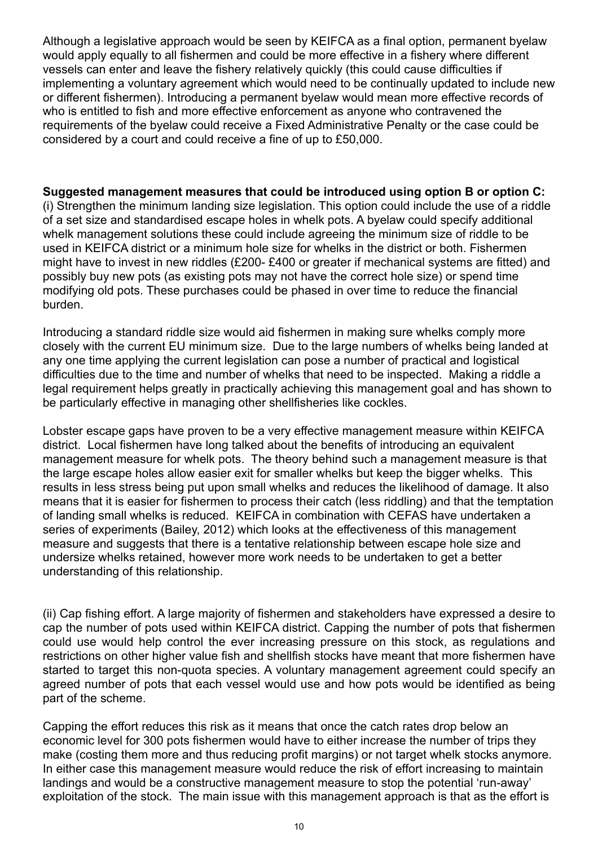Although a legislative approach would be seen by KEIFCA as a final option, permanent byelaw would apply equally to all fishermen and could be more effective in a fishery where different vessels can enter and leave the fishery relatively quickly (this could cause difficulties if implementing a voluntary agreement which would need to be continually updated to include new or different fishermen). Introducing a permanent byelaw would mean more effective records of who is entitled to fish and more effective enforcement as anyone who contravened the requirements of the byelaw could receive a Fixed Administrative Penalty or the case could be considered by a court and could receive a fine of up to £50,000.

**Suggested management measures that could be introduced using option B or option C:**  (i) Strengthen the minimum landing size legislation. This option could include the use of a riddle of a set size and standardised escape holes in whelk pots. A byelaw could specify additional whelk management solutions these could include agreeing the minimum size of riddle to be used in KEIFCA district or a minimum hole size for whelks in the district or both. Fishermen might have to invest in new riddles (£200- £400 or greater if mechanical systems are fitted) and possibly buy new pots (as existing pots may not have the correct hole size) or spend time modifying old pots. These purchases could be phased in over time to reduce the financial burden.

Introducing a standard riddle size would aid fishermen in making sure whelks comply more closely with the current EU minimum size. Due to the large numbers of whelks being landed at any one time applying the current legislation can pose a number of practical and logistical difficulties due to the time and number of whelks that need to be inspected. Making a riddle a legal requirement helps greatly in practically achieving this management goal and has shown to be particularly effective in managing other shellfisheries like cockles.

Lobster escape gaps have proven to be a very effective management measure within KEIFCA district. Local fishermen have long talked about the benefits of introducing an equivalent management measure for whelk pots. The theory behind such a management measure is that the large escape holes allow easier exit for smaller whelks but keep the bigger whelks. This results in less stress being put upon small whelks and reduces the likelihood of damage. It also means that it is easier for fishermen to process their catch (less riddling) and that the temptation of landing small whelks is reduced. KEIFCA in combination with CEFAS have undertaken a series of experiments (Bailey, 2012) which looks at the effectiveness of this management measure and suggests that there is a tentative relationship between escape hole size and undersize whelks retained, however more work needs to be undertaken to get a better understanding of this relationship.

(ii) Cap fishing effort. A large majority of fishermen and stakeholders have expressed a desire to cap the number of pots used within KEIFCA district. Capping the number of pots that fishermen could use would help control the ever increasing pressure on this stock, as regulations and restrictions on other higher value fish and shellfish stocks have meant that more fishermen have started to target this non-quota species. A voluntary management agreement could specify an agreed number of pots that each vessel would use and how pots would be identified as being part of the scheme.

Capping the effort reduces this risk as it means that once the catch rates drop below an economic level for 300 pots fishermen would have to either increase the number of trips they make (costing them more and thus reducing profit margins) or not target whelk stocks anymore. In either case this management measure would reduce the risk of effort increasing to maintain landings and would be a constructive management measure to stop the potential 'run-away' exploitation of the stock. The main issue with this management approach is that as the effort is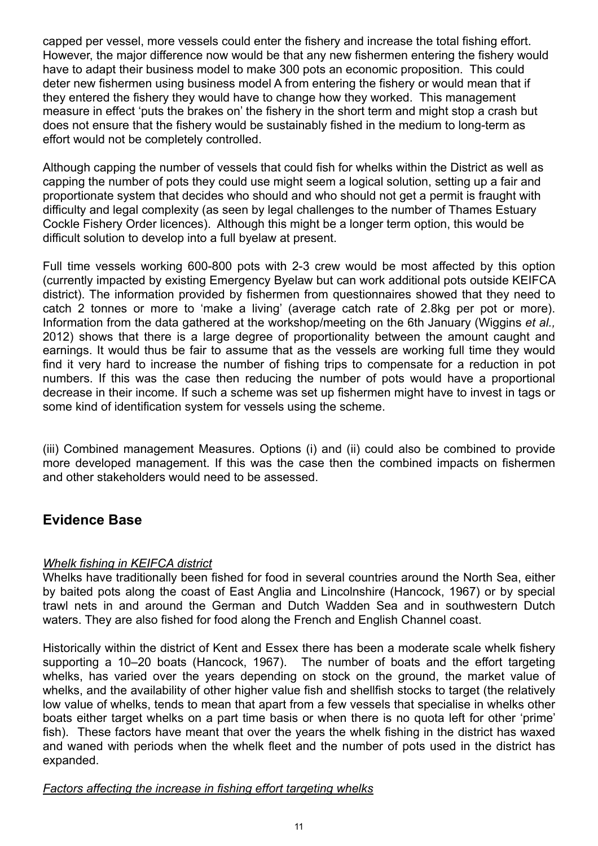capped per vessel, more vessels could enter the fishery and increase the total fishing effort. However, the major difference now would be that any new fishermen entering the fishery would have to adapt their business model to make 300 pots an economic proposition. This could deter new fishermen using business model A from entering the fishery or would mean that if they entered the fishery they would have to change how they worked. This management measure in effect 'puts the brakes on' the fishery in the short term and might stop a crash but does not ensure that the fishery would be sustainably fished in the medium to long-term as effort would not be completely controlled.

Although capping the number of vessels that could fish for whelks within the District as well as capping the number of pots they could use might seem a logical solution, setting up a fair and proportionate system that decides who should and who should not get a permit is fraught with difficulty and legal complexity (as seen by legal challenges to the number of Thames Estuary Cockle Fishery Order licences). Although this might be a longer term option, this would be difficult solution to develop into a full byelaw at present.

Full time vessels working 600-800 pots with 2-3 crew would be most affected by this option (currently impacted by existing Emergency Byelaw but can work additional pots outside KEIFCA district). The information provided by fishermen from questionnaires showed that they need to catch 2 tonnes or more to 'make a living' (average catch rate of 2.8kg per pot or more). Information from the data gathered at the workshop/meeting on the 6th January (Wiggins *et al.,* 2012) shows that there is a large degree of proportionality between the amount caught and earnings. It would thus be fair to assume that as the vessels are working full time they would find it very hard to increase the number of fishing trips to compensate for a reduction in pot numbers. If this was the case then reducing the number of pots would have a proportional decrease in their income. If such a scheme was set up fishermen might have to invest in tags or some kind of identification system for vessels using the scheme.

(iii) Combined management Measures. Options (i) and (ii) could also be combined to provide more developed management. If this was the case then the combined impacts on fishermen and other stakeholders would need to be assessed.

## **Evidence Base**

#### *Whelk fishing in KEIFCA district*

Whelks have traditionally been fished for food in several countries around the North Sea, either by baited pots along the coast of East Anglia and Lincolnshire (Hancock, 1967) or by special trawl nets in and around the German and Dutch Wadden Sea and in southwestern Dutch waters. They are also fished for food along the French and English Channel coast.

Historically within the district of Kent and Essex there has been a moderate scale whelk fishery supporting a 10–20 boats (Hancock, 1967). The number of boats and the effort targeting whelks, has varied over the years depending on stock on the ground, the market value of whelks, and the availability of other higher value fish and shellfish stocks to target (the relatively low value of whelks, tends to mean that apart from a few vessels that specialise in whelks other boats either target whelks on a part time basis or when there is no quota left for other 'prime' fish). These factors have meant that over the years the whelk fishing in the district has waxed and waned with periods when the whelk fleet and the number of pots used in the district has expanded.

#### *Factors affecting the increase in fishing effort targeting whelks*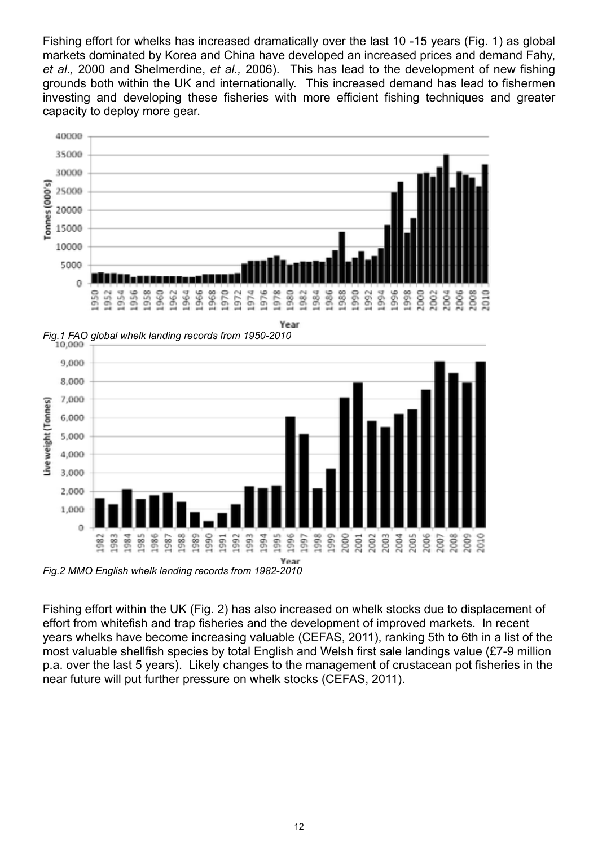Fishing effort for whelks has increased dramatically over the last 10 -15 years (Fig. 1) as global markets dominated by Korea and China have developed an increased prices and demand Fahy, *et al.,* 2000 and Shelmerdine, *et al.,* 2006). This has lead to the development of new fishing grounds both within the UK and internationally. This increased demand has lead to fishermen investing and developing these fisheries with more efficient fishing techniques and greater capacity to deploy more gear.



*Fig.1 FAO global whelk landing records from 1950-2010*



*Fig.2 MMO English whelk landing records from 1982-2010*

Fishing effort within the UK (Fig. 2) has also increased on whelk stocks due to displacement of effort from whitefish and trap fisheries and the development of improved markets. In recent years whelks have become increasing valuable (CEFAS, 2011), ranking 5th to 6th in a list of the most valuable shellfish species by total English and Welsh first sale landings value (£7-9 million p.a. over the last 5 years). Likely changes to the management of crustacean pot fisheries in the near future will put further pressure on whelk stocks (CEFAS, 2011).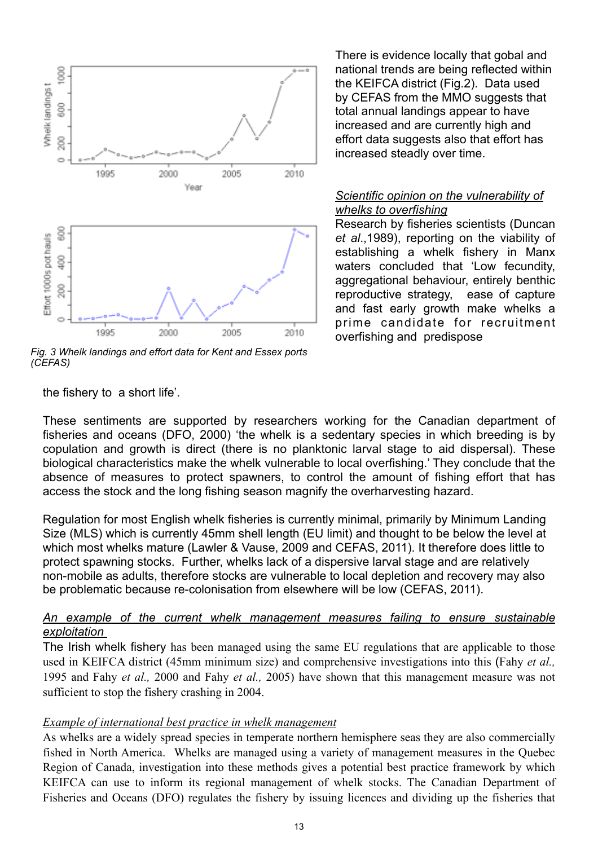

*Fig. 3 Whelk landings and effort data for Kent and Essex ports (CEFAS)*

the fishery to a short life'.

These sentiments are supported by researchers working for the Canadian department of fisheries and oceans (DFO, 2000) 'the whelk is a sedentary species in which breeding is by copulation and growth is direct (there is no planktonic larval stage to aid dispersal). These biological characteristics make the whelk vulnerable to local overfishing.' They conclude that the absence of measures to protect spawners, to control the amount of fishing effort that has access the stock and the long fishing season magnify the overharvesting hazard.

Regulation for most English whelk fisheries is currently minimal, primarily by Minimum Landing Size (MLS) which is currently 45mm shell length (EU limit) and thought to be below the level at which most whelks mature (Lawler & Vause, 2009 and CEFAS, 2011). It therefore does little to protect spawning stocks. Further, whelks lack of a dispersive larval stage and are relatively non-mobile as adults, therefore stocks are vulnerable to local depletion and recovery may also be problematic because re-colonisation from elsewhere will be low (CEFAS, 2011).

#### *An example of the current whelk management measures failing to ensure sustainable exploitation*

The Irish whelk fishery has been managed using the same EU regulations that are applicable to those used in KEIFCA district (45mm minimum size) and comprehensive investigations into this (Fahy *et al.,* 1995 and Fahy *et al.,* 2000 and Fahy *et al.,* 2005) have shown that this management measure was not sufficient to stop the fishery crashing in 2004.

#### *Example of international best practice in whelk management*

As whelks are a widely spread species in temperate northern hemisphere seas they are also commercially fished in North America. Whelks are managed using a variety of management measures in the Quebec Region of Canada, investigation into these methods gives a potential best practice framework by which KEIFCA can use to inform its regional management of whelk stocks. The Canadian Department of Fisheries and Oceans (DFO) regulates the fishery by issuing licences and dividing up the fisheries that

There is evidence locally that gobal and national trends are being reflected within the KEIFCA district (Fig.2). Data used by CEFAS from the MMO suggests that total annual landings appear to have increased and are currently high and effort data suggests also that effort has increased steadly over time.

#### *Scientific opinion on the vulnerability of whelks to overfishing*

Research by fisheries scientists (Duncan *et al*.,1989), reporting on the viability of establishing a whelk fishery in Manx waters concluded that 'Low fecundity, aggregational behaviour, entirely benthic reproductive strategy, ease of capture and fast early growth make whelks a prime candidate for recruitment overfishing and predispose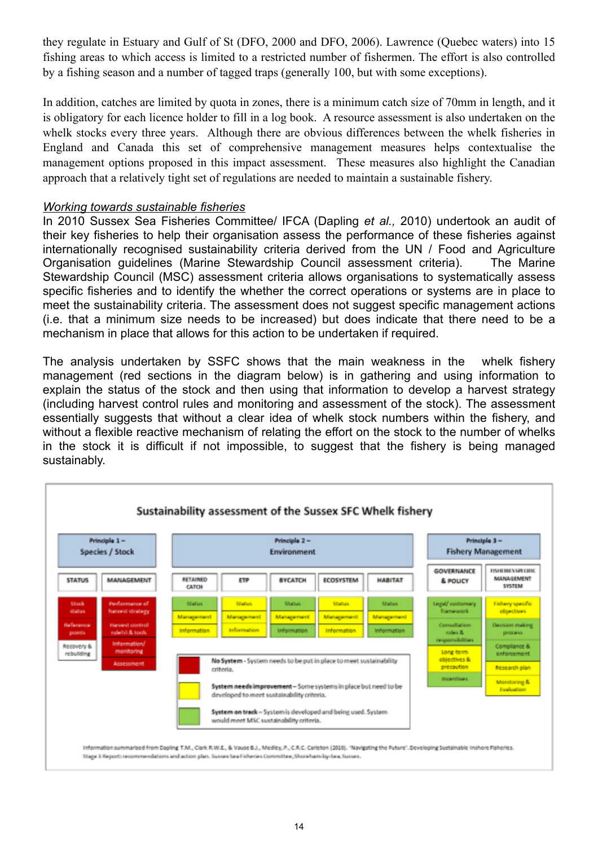they regulate in Estuary and Gulf of St (DFO, 2000 and DFO, 2006). Lawrence (Quebec waters) into 15 fishing areas to which access is limited to a restricted number of fishermen. The effort is also controlled by a fishing season and a number of tagged traps (generally 100, but with some exceptions).

In addition, catches are limited by quota in zones, there is a minimum catch size of 70mm in length, and it is obligatory for each licence holder to fill in a log book. A resource assessment is also undertaken on the whelk stocks every three years. Although there are obvious differences between the whelk fisheries in England and Canada this set of comprehensive management measures helps contextualise the management options proposed in this impact assessment. These measures also highlight the Canadian approach that a relatively tight set of regulations are needed to maintain a sustainable fishery.

#### *Working towards sustainable fisheries*

In 2010 Sussex Sea Fisheries Committee/ IFCA (Dapling *et al.,* 2010) undertook an audit of their key fisheries to help their organisation assess the performance of these fisheries against internationally recognised sustainability criteria derived from the UN / Food and Agriculture Organisation guidelines (Marine Stewardship Council assessment criteria). The Marine Stewardship Council (MSC) assessment criteria allows organisations to systematically assess specific fisheries and to identify the whether the correct operations or systems are in place to meet the sustainability criteria. The assessment does not suggest specific management actions (i.e. that a minimum size needs to be increased) but does indicate that there need to be a mechanism in place that allows for this action to be undertaken if required.

The analysis undertaken by SSFC shows that the main weakness in the whelk fishery management (red sections in the diagram below) is in gathering and using information to explain the status of the stock and then using that information to develop a harvest strategy (including harvest control rules and monitoring and assessment of the stock). The assessment essentially suggests that without a clear idea of whelk stock numbers within the fishery, and without a flexible reactive mechanism of relating the effort on the stock to the number of whelks in the stock it is difficult if not impossible, to suggest that the fishery is being managed sustainably.

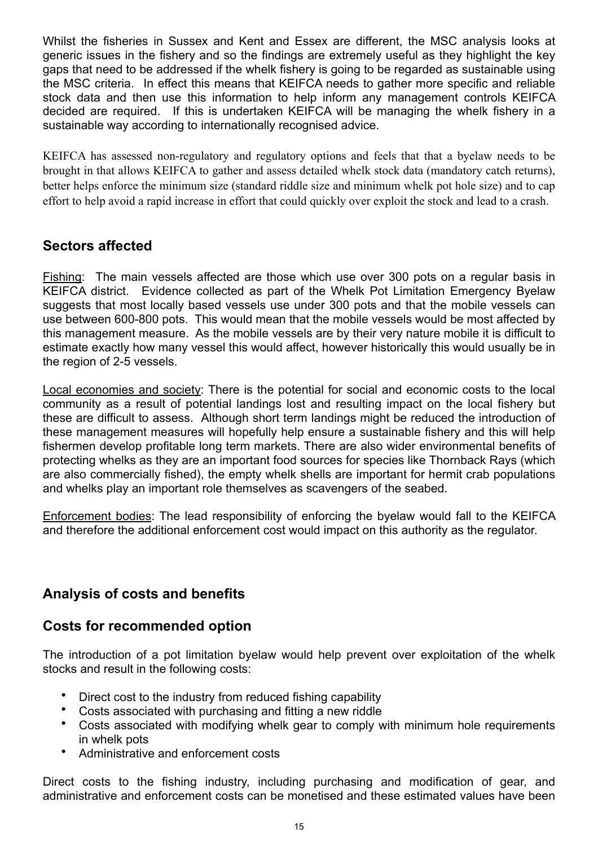Whilst the fisheries in Sussex and Kent and Essex are different, the MSC analysis looks at generic issues in the fishery and so the findings are extremely useful as they highlight the key gaps that need to be addressed if the whelk fishery is going to be regarded as sustainable using the MSC criteria. In effect this means that KEIFCA needs to gather more specific and reliable stock data and then use this information to help inform any management controls KEIFCA decided are required. If this is undertaken KEIFCA will be managing the whelk fishery in a sustainable way according to internationally recognised advice.

KEIFCA has assessed non-regulatory and regulatory options and feels that that a byelaw needs to be brought in that allows KEIFCA to gather and assess detailed whelk stock data (mandatory catch returns), better helps enforce the minimum size (standard riddle size and minimum whelk pot hole size) and to cap effort to help avoid a rapid increase in effort that could quickly over exploit the stock and lead to a crash.

## **Sectors affected**

Fishing: The main vessels affected are those which use over 300 pots on a regular basis in KEIFCA district. Evidence collected as part of the Whelk Pot Limitation Emergency Byelaw suggests that most locally based vessels use under 300 pots and that the mobile vessels can use between 600-800 pots. This would mean that the mobile vessels would be most affected by this management measure. As the mobile vessels are by their very nature mobile it is difficult to estimate exactly how many vessel this would affect, however historically this would usually be in the region of 2-5 vessels.

Local economies and society: There is the potential for social and economic costs to the local community as a result of potential landings lost and resulting impact on the local fishery but these are difficult to assess. Although short term landings might be reduced the introduction of these management measures will hopefully help ensure a sustainable fishery and this will help fishermen develop profitable long term markets. There are also wider environmental benefits of protecting whelks as they are an important food sources for species like Thornback Rays (which are also commercially fished), the empty whelk shells are important for hermit crab populations and whelks play an important role themselves as scavengers of the seabed.

Enforcement bodies: The lead responsibility of enforcing the byelaw would fall to the KEIFCA and therefore the additional enforcement cost would impact on this authority as the regulator.

## **Analysis of costs and benefits**

### **Costs for recommended option**

The introduction of a pot limitation byelaw would help prevent over exploitation of the whelk stocks and result in the following costs:

- Direct cost to the industry from reduced fishing capability
- Costs associated with purchasing and fitting a new riddle
- Costs associated with modifying whelk gear to comply with minimum hole requirements in whelk pots
- Administrative and enforcement costs

Direct costs to the fishing industry, including purchasing and modification of gear, and administrative and enforcement costs can be monetised and these estimated values have been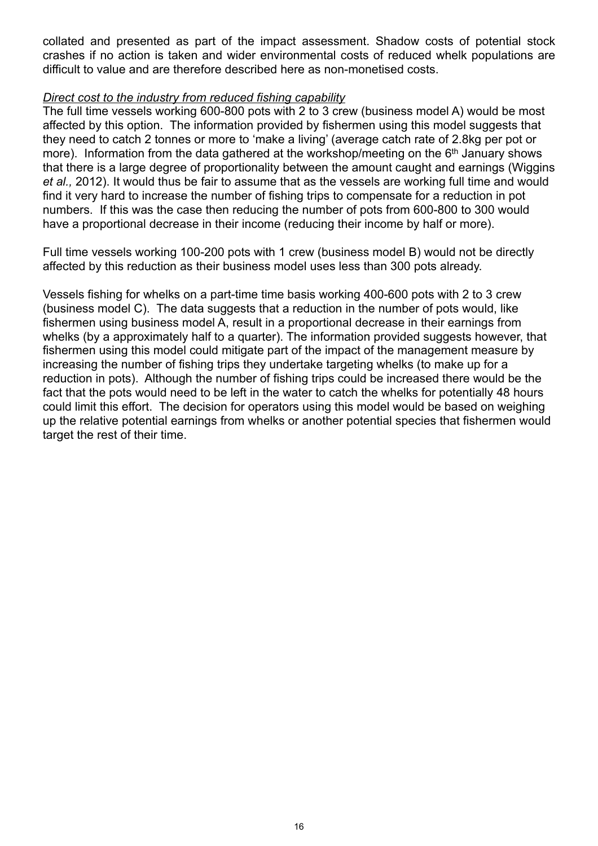collated and presented as part of the impact assessment. Shadow costs of potential stock crashes if no action is taken and wider environmental costs of reduced whelk populations are difficult to value and are therefore described here as non-monetised costs.

#### *Direct cost to the industry from reduced fishing capability*

The full time vessels working 600-800 pots with 2 to 3 crew (business model A) would be most affected by this option. The information provided by fishermen using this model suggests that they need to catch 2 tonnes or more to 'make a living' (average catch rate of 2.8kg per pot or more). Information from the data gathered at the workshop/meeting on the 6<sup>th</sup> January shows that there is a large degree of proportionality between the amount caught and earnings (Wiggins *et al.,* 2012). It would thus be fair to assume that as the vessels are working full time and would find it very hard to increase the number of fishing trips to compensate for a reduction in pot numbers. If this was the case then reducing the number of pots from 600-800 to 300 would have a proportional decrease in their income (reducing their income by half or more).

Full time vessels working 100-200 pots with 1 crew (business model B) would not be directly affected by this reduction as their business model uses less than 300 pots already.

Vessels fishing for whelks on a part-time time basis working 400-600 pots with 2 to 3 crew (business model C). The data suggests that a reduction in the number of pots would, like fishermen using business model A, result in a proportional decrease in their earnings from whelks (by a approximately half to a quarter). The information provided suggests however, that fishermen using this model could mitigate part of the impact of the management measure by increasing the number of fishing trips they undertake targeting whelks (to make up for a reduction in pots). Although the number of fishing trips could be increased there would be the fact that the pots would need to be left in the water to catch the whelks for potentially 48 hours could limit this effort. The decision for operators using this model would be based on weighing up the relative potential earnings from whelks or another potential species that fishermen would target the rest of their time.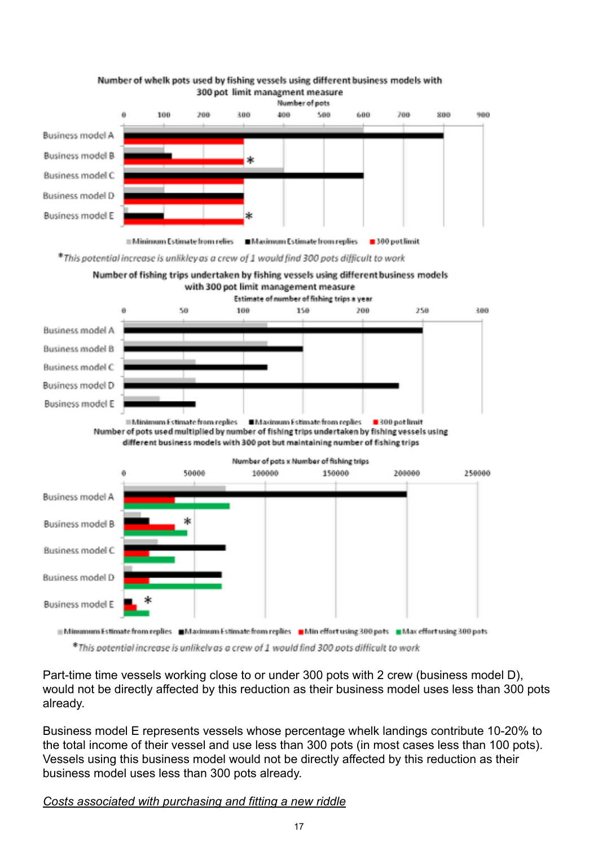

#### Number of whelk pots used by fishing vessels using different business models with 300 pot limit managment measure

\*This potential increase is unlikley as a crew of 1 would find 300 pots difficult to work





Minumum Estimate from replies Maximum Estimate from replies Min effort using 300 pots Max effort using 300 pots

\*This potential increase is unlikely as a crew of 1 would find 300 pots difficult to work

Part-time time vessels working close to or under 300 pots with 2 crew (business model D), would not be directly affected by this reduction as their business model uses less than 300 pots already.

Business model E represents vessels whose percentage whelk landings contribute 10-20% to the total income of their vessel and use less than 300 pots (in most cases less than 100 pots). Vessels using this business model would not be directly affected by this reduction as their business model uses less than 300 pots already.

*Costs associated with purchasing and fitting a new riddle*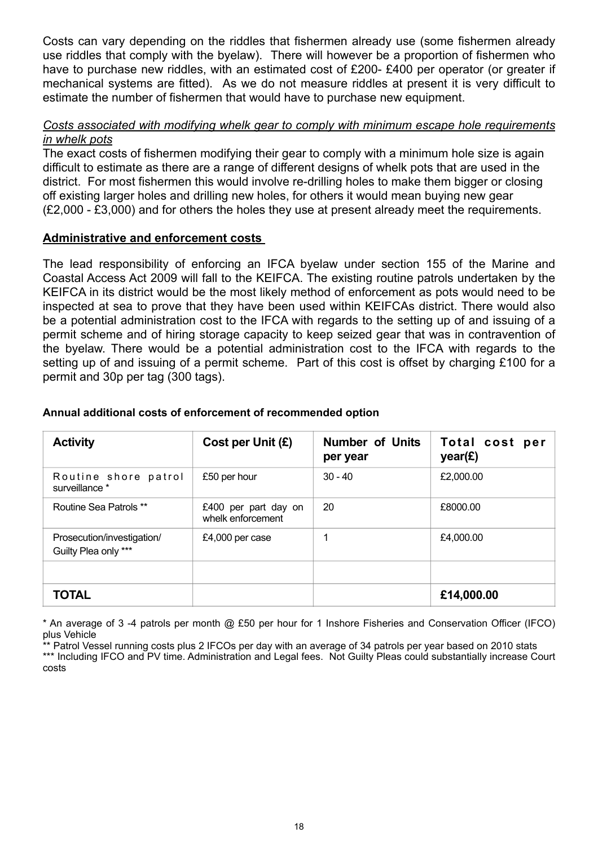Costs can vary depending on the riddles that fishermen already use (some fishermen already use riddles that comply with the byelaw). There will however be a proportion of fishermen who have to purchase new riddles, with an estimated cost of £200- £400 per operator (or greater if mechanical systems are fitted). As we do not measure riddles at present it is very difficult to estimate the number of fishermen that would have to purchase new equipment.

#### *Costs associated with modifying whelk gear to comply with minimum escape hole requirements in whelk pots*

The exact costs of fishermen modifying their gear to comply with a minimum hole size is again difficult to estimate as there are a range of different designs of whelk pots that are used in the district. For most fishermen this would involve re-drilling holes to make them bigger or closing off existing larger holes and drilling new holes, for others it would mean buying new gear (£2,000 - £3,000) and for others the holes they use at present already meet the requirements.

#### **Administrative and enforcement costs**

The lead responsibility of enforcing an IFCA byelaw under section 155 of the Marine and Coastal Access Act 2009 will fall to the KEIFCA. The existing routine patrols undertaken by the KEIFCA in its district would be the most likely method of enforcement as pots would need to be inspected at sea to prove that they have been used within KEIFCAs district. There would also be a potential administration cost to the IFCA with regards to the setting up of and issuing of a permit scheme and of hiring storage capacity to keep seized gear that was in contravention of the byelaw. There would be a potential administration cost to the IFCA with regards to the setting up of and issuing of a permit scheme. Part of this cost is offset by charging £100 for a permit and 30p per tag (300 tags).

| <b>Activity</b>                                    | Cost per Unit $(E)$                       | <b>Number of Units</b><br>per year | Total cost per<br>year(E) |
|----------------------------------------------------|-------------------------------------------|------------------------------------|---------------------------|
| Routine shore patrol<br>surveillance *             | £50 per hour                              | $30 - 40$                          | £2,000.00                 |
| Routine Sea Patrols **                             | £400 per part day on<br>whelk enforcement | 20                                 | £8000.00                  |
| Prosecution/investigation/<br>Guilty Plea only *** | £4,000 per case                           |                                    | £4,000.00                 |
|                                                    |                                           |                                    |                           |
| <b>TOTAL</b>                                       |                                           |                                    | £14,000.00                |

#### **Annual additional costs of enforcement of recommended option**

\* An average of 3 -4 patrols per month @ £50 per hour for 1 Inshore Fisheries and Conservation Officer (IFCO) plus Vehicle

\* Patrol Vessel running costs plus 2 IFCOs per day with an average of 34 patrols per year based on 2010 stats \*\*\* Including IFCO and PV time. Administration and Legal fees. Not Guilty Pleas could substantially increase Court costs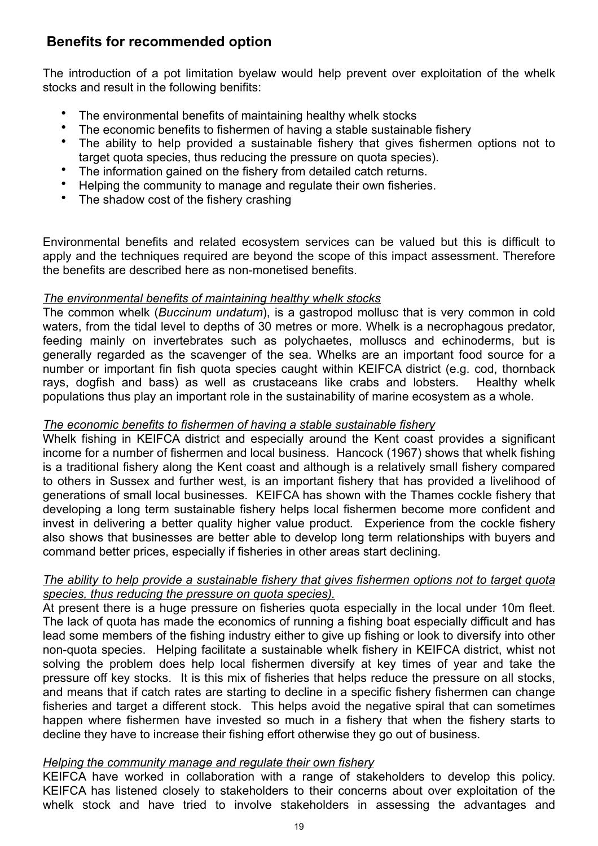## **Benefits for recommended option**

The introduction of a pot limitation byelaw would help prevent over exploitation of the whelk stocks and result in the following benifits:

- The environmental benefits of maintaining healthy whelk stocks
- The economic benefits to fishermen of having a stable sustainable fishery
- The ability to help provided a sustainable fishery that gives fishermen options not to target quota species, thus reducing the pressure on quota species).
- The information gained on the fishery from detailed catch returns.
- Helping the community to manage and regulate their own fisheries.
- The shadow cost of the fishery crashing

Environmental benefits and related ecosystem services can be valued but this is difficult to apply and the techniques required are beyond the scope of this impact assessment. Therefore the benefits are described here as non-monetised benefits.

#### *The environmental benefits of maintaining healthy whelk stocks*

The common whelk (*Buccinum undatum*), is a gastropod mollusc that is very common in cold waters, from the tidal level to depths of 30 metres or more. Whelk is a necrophagous predator, feeding mainly on invertebrates such as polychaetes, molluscs and echinoderms, but is generally regarded as the scavenger of the sea. Whelks are an important food source for a number or important fin fish quota species caught within KEIFCA district (e.g. cod, thornback rays, dogfish and bass) as well as crustaceans like crabs and lobsters. Healthy whelk populations thus play an important role in the sustainability of marine ecosystem as a whole.

#### *The economic benefits to fishermen of having a stable sustainable fishery*

Whelk fishing in KEIFCA district and especially around the Kent coast provides a significant income for a number of fishermen and local business. Hancock (1967) shows that whelk fishing is a traditional fishery along the Kent coast and although is a relatively small fishery compared to others in Sussex and further west, is an important fishery that has provided a livelihood of generations of small local businesses. KEIFCA has shown with the Thames cockle fishery that developing a long term sustainable fishery helps local fishermen become more confident and invest in delivering a better quality higher value product. Experience from the cockle fishery also shows that businesses are better able to develop long term relationships with buyers and command better prices, especially if fisheries in other areas start declining.

#### *The ability to help provide a sustainable fishery that gives fishermen options not to target quota species, thus reducing the pressure on quota species).*

At present there is a huge pressure on fisheries quota especially in the local under 10m fleet. The lack of quota has made the economics of running a fishing boat especially difficult and has lead some members of the fishing industry either to give up fishing or look to diversify into other non-quota species. Helping facilitate a sustainable whelk fishery in KEIFCA district, whist not solving the problem does help local fishermen diversify at key times of year and take the pressure off key stocks. It is this mix of fisheries that helps reduce the pressure on all stocks, and means that if catch rates are starting to decline in a specific fishery fishermen can change fisheries and target a different stock. This helps avoid the negative spiral that can sometimes happen where fishermen have invested so much in a fishery that when the fishery starts to decline they have to increase their fishing effort otherwise they go out of business.

#### *Helping the community manage and regulate their own fishery*

KEIFCA have worked in collaboration with a range of stakeholders to develop this policy. KEIFCA has listened closely to stakeholders to their concerns about over exploitation of the whelk stock and have tried to involve stakeholders in assessing the advantages and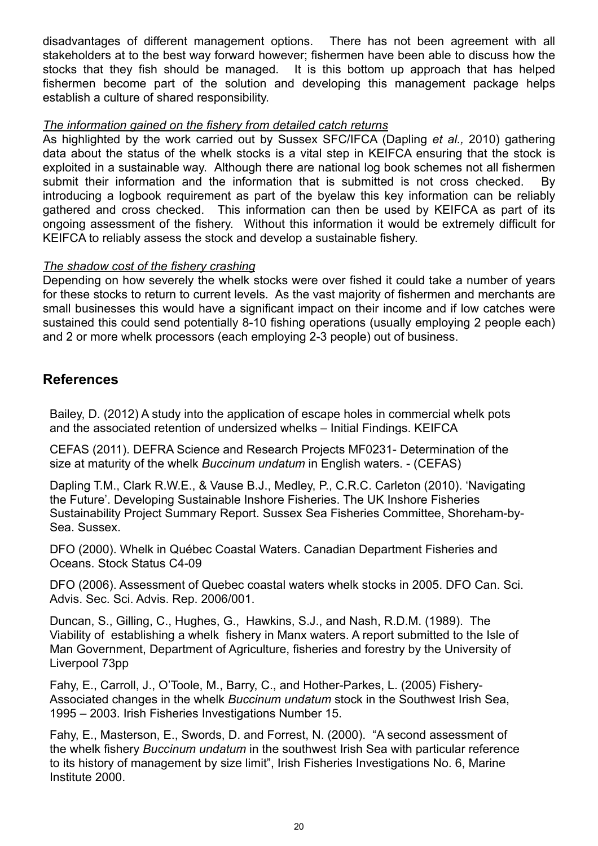disadvantages of different management options. There has not been agreement with all stakeholders at to the best way forward however; fishermen have been able to discuss how the stocks that they fish should be managed. It is this bottom up approach that has helped fishermen become part of the solution and developing this management package helps establish a culture of shared responsibility.

#### *The information gained on the fishery from detailed catch returns*

As highlighted by the work carried out by Sussex SFC/IFCA (Dapling *et al.,* 2010) gathering data about the status of the whelk stocks is a vital step in KEIFCA ensuring that the stock is exploited in a sustainable way. Although there are national log book schemes not all fishermen submit their information and the information that is submitted is not cross checked. By introducing a logbook requirement as part of the byelaw this key information can be reliably gathered and cross checked. This information can then be used by KEIFCA as part of its ongoing assessment of the fishery. Without this information it would be extremely difficult for KEIFCA to reliably assess the stock and develop a sustainable fishery.

#### *The shadow cost of the fishery crashing*

Depending on how severely the whelk stocks were over fished it could take a number of years for these stocks to return to current levels. As the vast majority of fishermen and merchants are small businesses this would have a significant impact on their income and if low catches were sustained this could send potentially 8-10 fishing operations (usually employing 2 people each) and 2 or more whelk processors (each employing 2-3 people) out of business.

## **References**

Bailey, D. (2012) A study into the application of escape holes in commercial whelk pots and the associated retention of undersized whelks – Initial Findings. KEIFCA

CEFAS (2011). DEFRA Science and Research Projects MF0231- Determination of the size at maturity of the whelk *Buccinum undatum* in English waters. - (CEFAS)

Dapling T.M., Clark R.W.E., & Vause B.J., Medley, P., C.R.C. Carleton (2010). 'Navigating the Future'. Developing Sustainable Inshore Fisheries. The UK Inshore Fisheries Sustainability Project Summary Report. Sussex Sea Fisheries Committee, Shoreham-by-Sea. Sussex.

DFO (2000). Whelk in Québec Coastal Waters. Canadian Department Fisheries and Oceans. Stock Status C4-09

DFO (2006). Assessment of Quebec coastal waters whelk stocks in 2005. DFO Can. Sci. Advis. Sec. Sci. Advis. Rep. 2006/001.

Duncan, S., Gilling, C., Hughes, G., Hawkins, S.J., and Nash, R.D.M. (1989). The Viability of establishing a whelk fishery in Manx waters. A report submitted to the Isle of Man Government, Department of Agriculture, fisheries and forestry by the University of Liverpool 73pp

Fahy, E., Carroll, J., O'Toole, M., Barry, C., and Hother-Parkes, L. (2005) Fishery-Associated changes in the whelk *Buccinum undatum* stock in the Southwest Irish Sea, 1995 – 2003. Irish Fisheries Investigations Number 15.

Fahy, E., Masterson, E., Swords, D. and Forrest, N. (2000). "A second assessment of the whelk fishery *Buccinum undatum* in the southwest Irish Sea with particular reference to its history of management by size limit", Irish Fisheries Investigations No. 6, Marine Institute 2000.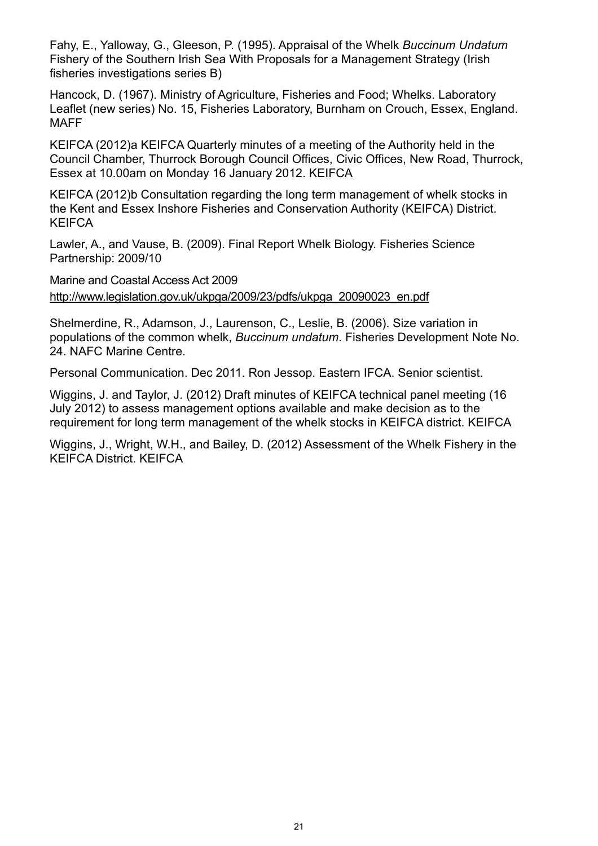Fahy, E., Yalloway, G., Gleeson, P. (1995). Appraisal of the Whelk *Buccinum Undatum* Fishery of the Southern Irish Sea With Proposals for a Management Strategy (Irish fisheries investigations series B)

Hancock, D. (1967). Ministry of Agriculture, Fisheries and Food; Whelks. Laboratory Leaflet (new series) No. 15, Fisheries Laboratory, Burnham on Crouch, Essex, England. MAFF

KEIFCA (2012)a KEIFCA Quarterly minutes of a meeting of the Authority held in the Council Chamber, Thurrock Borough Council Offices, Civic Offices, New Road, Thurrock, Essex at 10.00am on Monday 16 January 2012. KEIFCA

KEIFCA (2012)b Consultation regarding the long term management of whelk stocks in the Kent and Essex Inshore Fisheries and Conservation Authority (KEIFCA) District. KEIFCA

Lawler, A., and Vause, B. (2009). Final Report Whelk Biology. Fisheries Science Partnership: 2009/10

Marine and Coastal Access Act 2009 http://www.legislation.gov.uk/ukpga/2009/23/pdfs/ukpga\_20090023\_en.pdf

Shelmerdine, R., Adamson, J., Laurenson, C., Leslie, B. (2006). Size variation in populations of the common whelk, *Buccinum undatum*. Fisheries Development Note No. 24. NAFC Marine Centre.

Personal Communication. Dec 2011. Ron Jessop. Eastern IFCA. Senior scientist.

Wiggins, J. and Taylor, J. (2012) Draft minutes of KEIFCA technical panel meeting (16 July 2012) to assess management options available and make decision as to the requirement for long term management of the whelk stocks in KEIFCA district. KEIFCA

Wiggins, J., Wright, W.H., and Bailey, D. (2012) Assessment of the Whelk Fishery in the KEIFCA District. KEIFCA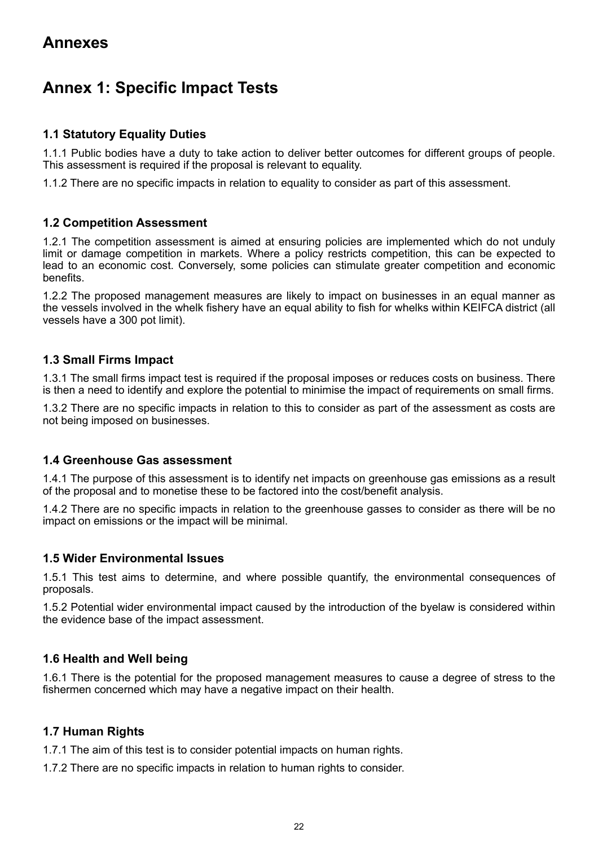# **Annex 1: Specific Impact Tests**

#### **1.1 Statutory Equality Duties**

1.1.1 Public bodies have a duty to take action to deliver better outcomes for different groups of people. This assessment is required if the proposal is relevant to equality.

1.1.2 There are no specific impacts in relation to equality to consider as part of this assessment.

#### **1.2 Competition Assessment**

1.2.1 The competition assessment is aimed at ensuring policies are implemented which do not unduly limit or damage competition in markets. Where a policy restricts competition, this can be expected to lead to an economic cost. Conversely, some policies can stimulate greater competition and economic benefits.

1.2.2 The proposed management measures are likely to impact on businesses in an equal manner as the vessels involved in the whelk fishery have an equal ability to fish for whelks within KEIFCA district (all vessels have a 300 pot limit).

#### **1.3 Small Firms Impact**

1.3.1 The small firms impact test is required if the proposal imposes or reduces costs on business. There is then a need to identify and explore the potential to minimise the impact of requirements on small firms.

1.3.2 There are no specific impacts in relation to this to consider as part of the assessment as costs are not being imposed on businesses.

#### **1.4 Greenhouse Gas assessment**

1.4.1 The purpose of this assessment is to identify net impacts on greenhouse gas emissions as a result of the proposal and to monetise these to be factored into the cost/benefit analysis.

1.4.2 There are no specific impacts in relation to the greenhouse gasses to consider as there will be no impact on emissions or the impact will be minimal.

#### **1.5 Wider Environmental Issues**

1.5.1 This test aims to determine, and where possible quantify, the environmental consequences of proposals.

1.5.2 Potential wider environmental impact caused by the introduction of the byelaw is considered within the evidence base of the impact assessment.

#### **1.6 Health and Well being**

1.6.1 There is the potential for the proposed management measures to cause a degree of stress to the fishermen concerned which may have a negative impact on their health.

#### **1.7 Human Rights**

1.7.1 The aim of this test is to consider potential impacts on human rights.

1.7.2 There are no specific impacts in relation to human rights to consider.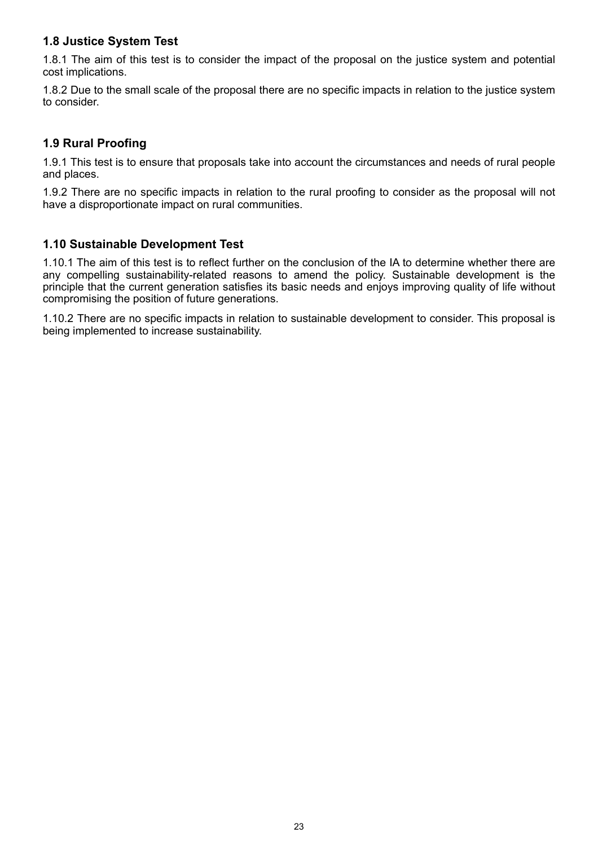#### **1.8 Justice System Test**

1.8.1 The aim of this test is to consider the impact of the proposal on the justice system and potential cost implications.

1.8.2 Due to the small scale of the proposal there are no specific impacts in relation to the justice system to consider.

#### **1.9 Rural Proofing**

1.9.1 This test is to ensure that proposals take into account the circumstances and needs of rural people and places.

1.9.2 There are no specific impacts in relation to the rural proofing to consider as the proposal will not have a disproportionate impact on rural communities.

#### **1.10 Sustainable Development Test**

1.10.1 The aim of this test is to reflect further on the conclusion of the IA to determine whether there are any compelling sustainability-related reasons to amend the policy. Sustainable development is the principle that the current generation satisfies its basic needs and enjoys improving quality of life without compromising the position of future generations.

1.10.2 There are no specific impacts in relation to sustainable development to consider. This proposal is being implemented to increase sustainability.